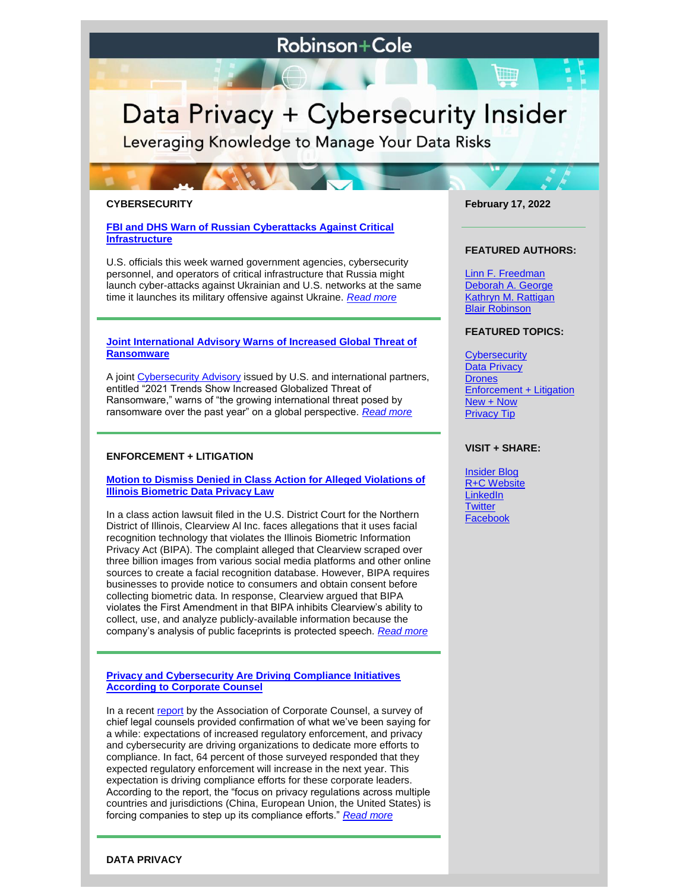# **Robinson+Cole**

# Data Privacy + Cybersecurity Insider

Leveraging Knowledge to Manage Your Data Risks

# **CYBERSECURITY**

**[FBI and DHS Warn of Russian Cyberattacks Against Critical](https://www.dataprivacyandsecurityinsider.com/2022/02/fbi-and-dhs-warn-of-russian-cyberattacks-against-critical-infrastructure/)  [Infrastructure](https://www.dataprivacyandsecurityinsider.com/2022/02/fbi-and-dhs-warn-of-russian-cyberattacks-against-critical-infrastructure/)**

U.S. officials this week warned government agencies, cybersecurity personnel, and operators of critical infrastructure that Russia might launch cyber-attacks against Ukrainian and U.S. networks at the same time it launches its military offensive against Ukraine. *[Read more](https://www.dataprivacyandsecurityinsider.com/2022/02/fbi-and-dhs-warn-of-russian-cyberattacks-against-critical-infrastructure/)*

# **[Joint International Advisory Warns of Increased Global Threat of](https://www.dataprivacyandsecurityinsider.com/2022/02/joint-international-advisory-warns-of-increased-global-threat-of-ransomware/)  [Ransomware](https://www.dataprivacyandsecurityinsider.com/2022/02/joint-international-advisory-warns-of-increased-global-threat-of-ransomware/)**

A joint [Cybersecurity Advisory](https://www.cisa.gov/news/2022/02/09/cisa-fbi-nsa-and-international-partners-issue-advisory-ransomware-trends-2021) issued by U.S. and international partners, entitled "2021 Trends Show Increased Globalized Threat of Ransomware," warns of "the growing international threat posed by ransomware over the past year" on a global perspective. *[Read more](https://www.dataprivacyandsecurityinsider.com/2022/02/joint-international-advisory-warns-of-increased-global-threat-of-ransomware/)*

# **ENFORCEMENT + LITIGATION**

# **[Motion to Dismiss Denied in Class Action for Alleged Violations of](https://www.dataprivacyandsecurityinsider.com/2022/02/motion-to-dismiss-denied-in-class-action-for-alleged-violations-of-illinois-biometric-data-privacy-law/)  [Illinois Biometric Data Privacy Law](https://www.dataprivacyandsecurityinsider.com/2022/02/motion-to-dismiss-denied-in-class-action-for-alleged-violations-of-illinois-biometric-data-privacy-law/)**

In a class action lawsuit filed in the U.S. District Court for the Northern District of Illinois, Clearview Al Inc. faces allegations that it uses facial recognition technology that violates the Illinois Biometric Information Privacy Act (BIPA). The complaint alleged that Clearview scraped over three billion images from various social media platforms and other online sources to create a facial recognition database. However, BIPA requires businesses to provide notice to consumers and obtain consent before collecting biometric data. In response, Clearview argued that BIPA violates the First Amendment in that BIPA inhibits Clearview's ability to collect, use, and analyze publicly-available information because the company's analysis of public faceprints is protected speech. *[Read more](https://www.dataprivacyandsecurityinsider.com/2022/02/motion-to-dismiss-denied-in-class-action-for-alleged-violations-of-illinois-biometric-data-privacy-law/)*

**[Privacy and Cybersecurity Are Driving Compliance Initiatives](https://www.dataprivacyandsecurityinsider.com/2022/02/privacy-and-cybersecurity-are-driving-compliance-initiatives-according-to-corporate-counsel/)  [According to Corporate Counsel](https://www.dataprivacyandsecurityinsider.com/2022/02/privacy-and-cybersecurity-are-driving-compliance-initiatives-according-to-corporate-counsel/)**

In a recent [report](https://www.acc.com/sites/default/files/2022-01/ACC_CLOreport22_Final.pdf) by the Association of Corporate Counsel, a survey of chief legal counsels provided confirmation of what we've been saying for a while: expectations of increased regulatory enforcement, and privacy and cybersecurity are driving organizations to dedicate more efforts to compliance. In fact, 64 percent of those surveyed responded that they expected regulatory enforcement will increase in the next year. This expectation is driving compliance efforts for these corporate leaders. According to the report, the "focus on privacy regulations across multiple countries and jurisdictions (China, European Union, the United States) is forcing companies to step up its compliance efforts." *[Read more](https://www.dataprivacyandsecurityinsider.com/2022/02/privacy-and-cybersecurity-are-driving-compliance-initiatives-according-to-corporate-counsel/)*

**February 17, 2022**

#### **FEATURED AUTHORS:**

[Linn F. Freedman](https://www.rc.com/people/LinnFFreedman.cfm) [Deborah A. George](http://www.rc.com/people/DeborahAGeorge.cfm) [Kathryn M. Rattigan](https://www.rc.com/people/kathrynmrattigan.cfm) Blair Robinson

# **FEATURED TOPICS:**

**[Cybersecurity](https://www.dataprivacyandsecurityinsider.com/category/cybersecurity/)** [Data Privacy](https://www.dataprivacyandsecurityinsider.com/category/data-privacy/) **[Drones](https://www.dataprivacyandsecurityinsider.com/category/drones/) [Enforcement + Litigation](https://www.dataprivacyandsecurityinsider.com/category/enforcement-litigation/)** [New + Now](https://www.dataprivacyandsecurityinsider.com/category/new-now/) [Privacy Tip](https://www.dataprivacyandsecurityinsider.com/category/privacy-tips/)

# **VISIT + SHARE:**

[Insider Blog](https://www.dataprivacyandsecurityinsider.com/) [R+C Website](http://www.rc.com/) **[LinkedIn](https://www.linkedin.com/company/robinson-&-cole-llp) [Twitter](https://twitter.com/RobinsonCole) [Facebook](https://www.facebook.com/RobinsonCole-144331422248207/)** 

# **DATA PRIVACY**